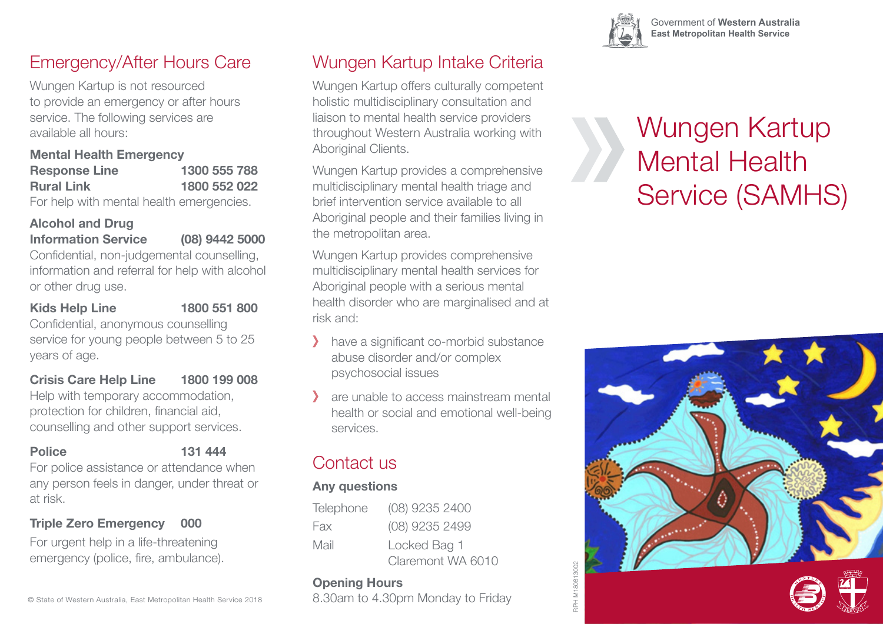### Emergency/After Hours Care

Wungen Kartup is not resourced to provide an emergency or after hours service. The following services are available all hours:

#### **Mental Health Emergency**

| <b>Response Line</b> | 1300 555 788 |
|----------------------|--------------|
| <b>Rural Link</b>    | 1800 552 022 |
|                      |              |

For help with mental health emergencies.

#### **Alcohol and Drug Information Service (08) 9442 5000**

Confidential, non-judgemental counselling, information and referral for help with alcohol or other drug use.

#### **Kids Help Line 1800 551 800**

Confidential, anonymous counselling service for young people between 5 to 25 years of age.

#### **Crisis Care Help Line 1800 199 008**

Help with temporary accommodation, protection for children, financial aid, counselling and other support services.

- 
- **Police 131 444**

For police assistance or attendance when any person feels in danger, under threat or at risk.

#### **Triple Zero Emergency 000**

For urgent help in a life-threatening emergency (police, fire, ambulance).

## Wungen Kartup Intake Criteria

Wungen Kartup offers culturally competent holistic multidisciplinary consultation and liaison to mental health service providers throughout Western Australia working with Aboriginal Clients.

Wungen Kartup provides a comprehensive multidisciplinary mental health triage and brief intervention service available to all Aboriginal people and their families living in the metropolitan area.

Wungen Kartup provides comprehensive multidisciplinary mental health services for Aboriginal people with a serious mental health disorder who are marginalised and at risk and:

- have a significant co-morbid substance abuse disorder and/or complex psychosocial issues
- are unable to access mainstream mental health or social and emotional well-being services.

### Contact us

### **Any questions**

| Telephone | (08) 9235 2400    |
|-----------|-------------------|
| Fax       | (08) 9235 2499    |
| Mail      | Locked Bag 1      |
|           | Claremont WA 6010 |

#### **Opening Hours**

8.30am to 4.30pm Monday to Friday

# Wungen Kartup Mental Health Service (SAMHS)